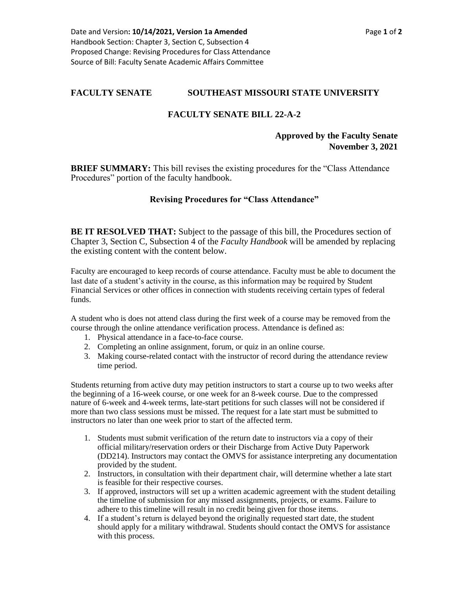## **FACULTY SENATE SOUTHEAST MISSOURI STATE UNIVERSITY**

## **FACULTY SENATE BILL 22-A-2**

## **Approved by the Faculty Senate November 3, 2021**

**BRIEF SUMMARY:** This bill revises the existing procedures for the "Class Attendance" Procedures" portion of the faculty handbook.

## **Revising Procedures for "Class Attendance"**

**BE IT RESOLVED THAT:** Subject to the passage of this bill, the Procedures section of Chapter 3, Section C, Subsection 4 of the *Faculty Handbook* will be amended by replacing the existing content with the content below.

Faculty are encouraged to keep records of course attendance. Faculty must be able to document the last date of a student's activity in the course, as this information may be required by Student Financial Services or other offices in connection with students receiving certain types of federal funds.

A student who is does not attend class during the first week of a course may be removed from the course through the online attendance verification process. Attendance is defined as:

- 1. Physical attendance in a face-to-face course.
- 2. Completing an online assignment, forum, or quiz in an online course.
- 3. Making course-related contact with the instructor of record during the attendance review time period.

Students returning from active duty may petition instructors to start a course up to two weeks after the beginning of a 16-week course, or one week for an 8-week course. Due to the compressed nature of 6-week and 4-week terms, late-start petitions for such classes will not be considered if more than two class sessions must be missed. The request for a late start must be submitted to instructors no later than one week prior to start of the affected term.

- 1. Students must submit verification of the return date to instructors via a copy of their official military/reservation orders or their Discharge from Active Duty Paperwork (DD214). Instructors may contact the OMVS for assistance interpreting any documentation provided by the student.
- 2. Instructors, in consultation with their department chair, will determine whether a late start is feasible for their respective courses.
- 3. If approved, instructors will set up a written academic agreement with the student detailing the timeline of submission for any missed assignments, projects, or exams. Failure to adhere to this timeline will result in no credit being given for those items.
- 4. If a student's return is delayed beyond the originally requested start date, the student should apply for a military withdrawal. Students should contact the OMVS for assistance with this process.